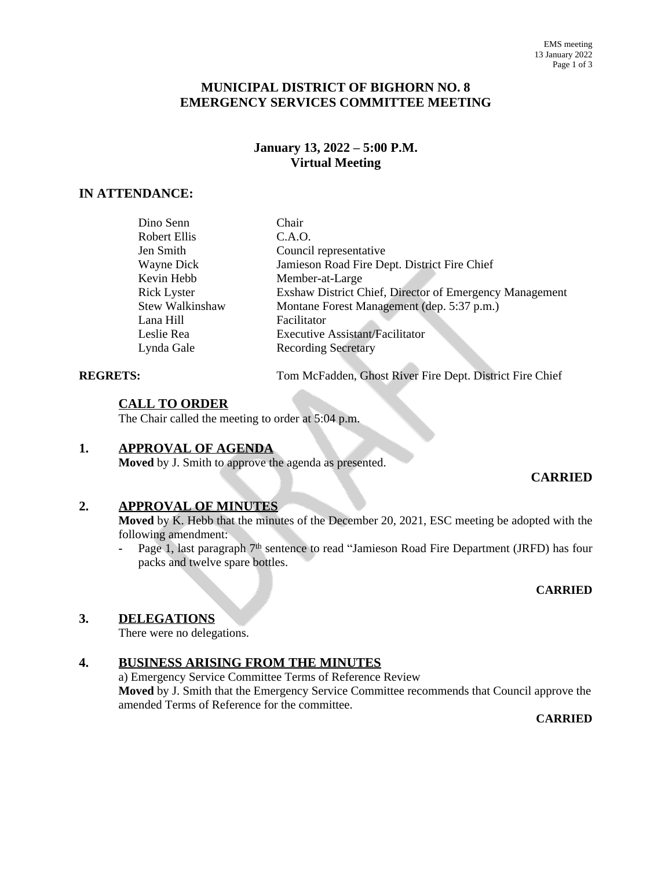## **MUNICIPAL DISTRICT OF BIGHORN NO. 8 EMERGENCY SERVICES COMMITTEE MEETING**

#### **January 13, 2022 – 5:00 P.M. Virtual Meeting**

## **IN ATTENDANCE:**

| Dino Senn       | Chair                                                   |
|-----------------|---------------------------------------------------------|
| Robert Ellis    | C.A.O.                                                  |
| Jen Smith       | Council representative                                  |
| Wayne Dick      | Jamieson Road Fire Dept. District Fire Chief            |
| Kevin Hebb      | Member-at-Large                                         |
| Rick Lyster     | Exshaw District Chief, Director of Emergency Management |
| Stew Walkinshaw | Montane Forest Management (dep. 5:37 p.m.)              |
| Lana Hill       | Facilitator                                             |
| Leslie Rea      | <b>Executive Assistant/Facilitator</b>                  |
| Lynda Gale      | <b>Recording Secretary</b>                              |
|                 |                                                         |

**REGRETS:** Tom McFadden, Ghost River Fire Dept. District Fire Chief

#### **CALL TO ORDER**

The Chair called the meeting to order at 5:04 p.m.

#### **1. APPROVAL OF AGENDA**

**Moved** by J. Smith to approve the agenda as presented.

#### **CARRIED**

#### **2. APPROVAL OF MINUTES**

**Moved** by K. Hebb that the minutes of the December 20, 2021, ESC meeting be adopted with the following amendment:

**-** Page 1, last paragraph 7 th sentence to read "Jamieson Road Fire Department (JRFD) has four packs and twelve spare bottles.

#### **CARRIED**

#### **3. DELEGATIONS**

There were no delegations.

#### **4. BUSINESS ARISING FROM THE MINUTES**

a) Emergency Service Committee Terms of Reference Review **Moved** by J. Smith that the Emergency Service Committee recommends that Council approve the amended Terms of Reference for the committee.

**CARRIED**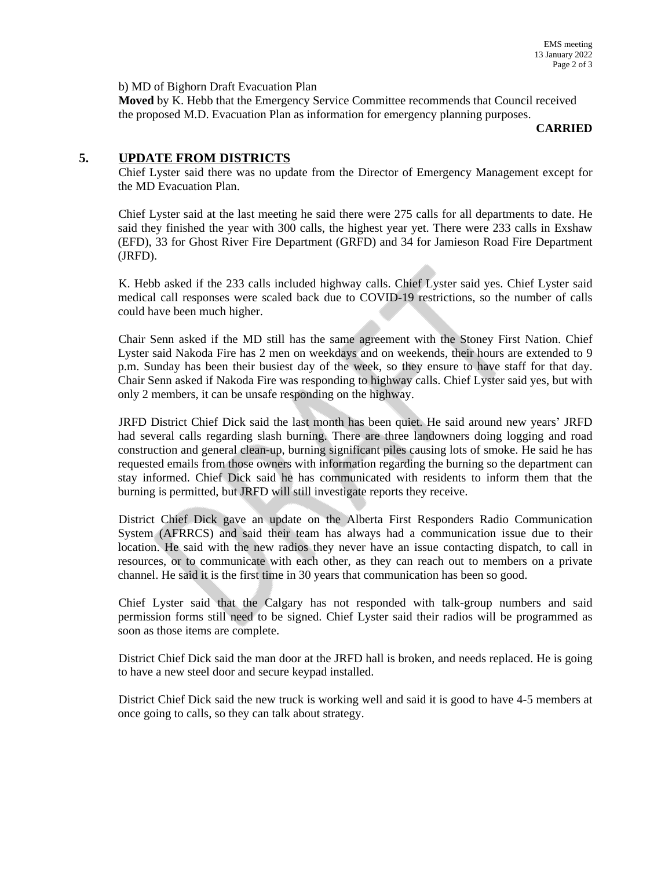b) MD of Bighorn Draft Evacuation Plan

**Moved** by K. Hebb that the Emergency Service Committee recommends that Council received the proposed M.D. Evacuation Plan as information for emergency planning purposes.

**CARRIED**

#### **5. UPDATE FROM DISTRICTS**

Chief Lyster said there was no update from the Director of Emergency Management except for the MD Evacuation Plan.

Chief Lyster said at the last meeting he said there were 275 calls for all departments to date. He said they finished the year with 300 calls, the highest year yet. There were 233 calls in Exshaw (EFD), 33 for Ghost River Fire Department (GRFD) and 34 for Jamieson Road Fire Department (JRFD).

K. Hebb asked if the 233 calls included highway calls. Chief Lyster said yes. Chief Lyster said medical call responses were scaled back due to COVID-19 restrictions, so the number of calls could have been much higher.

Chair Senn asked if the MD still has the same agreement with the Stoney First Nation. Chief Lyster said Nakoda Fire has 2 men on weekdays and on weekends, their hours are extended to 9 p.m. Sunday has been their busiest day of the week, so they ensure to have staff for that day. Chair Senn asked if Nakoda Fire was responding to highway calls. Chief Lyster said yes, but with only 2 members, it can be unsafe responding on the highway.

JRFD District Chief Dick said the last month has been quiet. He said around new years' JRFD had several calls regarding slash burning. There are three landowners doing logging and road construction and general clean-up, burning significant piles causing lots of smoke. He said he has requested emails from those owners with information regarding the burning so the department can stay informed. Chief Dick said he has communicated with residents to inform them that the burning is permitted, but JRFD will still investigate reports they receive.

District Chief Dick gave an update on the Alberta First Responders Radio Communication System (AFRRCS) and said their team has always had a communication issue due to their location. He said with the new radios they never have an issue contacting dispatch, to call in resources, or to communicate with each other, as they can reach out to members on a private channel. He said it is the first time in 30 years that communication has been so good.

Chief Lyster said that the Calgary has not responded with talk-group numbers and said permission forms still need to be signed. Chief Lyster said their radios will be programmed as soon as those items are complete.

District Chief Dick said the man door at the JRFD hall is broken, and needs replaced. He is going to have a new steel door and secure keypad installed.

District Chief Dick said the new truck is working well and said it is good to have 4-5 members at once going to calls, so they can talk about strategy.